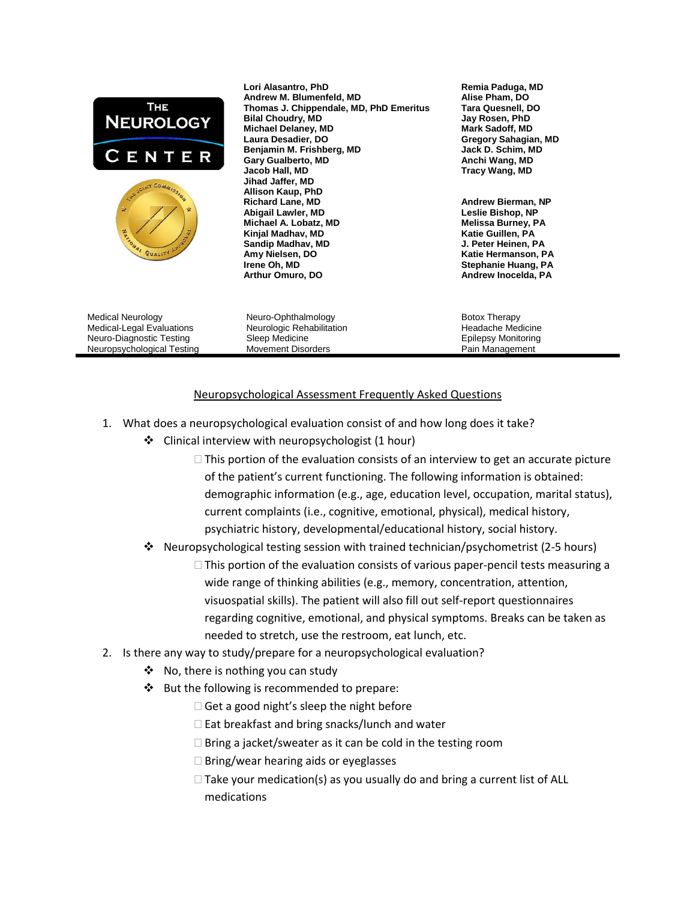

## Neuropsychological Assessment Frequently Asked Questions

- 1. What does a neuropsychological evaluation consist of and how long does it take?
	- Clinical interview with neuropsychologist (1 hour)
		- $\Box$  This portion of the evaluation consists of an interview to get an accurate picture of the patient's current functioning. The following information is obtained: demographic information (e.g., age, education level, occupation, marital status), current complaints (i.e., cognitive, emotional, physical), medical history, psychiatric history, developmental/educational history, social history.
	- $\cdot$  Neuropsychological testing session with trained technician/psychometrist (2-5 hours)
		- $\Box$  This portion of the evaluation consists of various paper-pencil tests measuring a wide range of thinking abilities (e.g., memory, concentration, attention, visuospatial skills). The patient will also fill out self-report questionnaires regarding cognitive, emotional, and physical symptoms. Breaks can be taken as needed to stretch, use the restroom, eat lunch, etc.
- 2. Is there any way to study/prepare for a neuropsychological evaluation?
	- $\triangleleft$  No, there is nothing you can study
	- ❖ But the following is recommended to prepare:
		- $\Box$  Get a good night's sleep the night before
		- $\square$  Eat breakfast and bring snacks/lunch and water
		- $\Box$  Bring a jacket/sweater as it can be cold in the testing room
		- $\Box$  Bring/wear hearing aids or eyeglasses
		- $\Box$  Take your medication(s) as you usually do and bring a current list of ALL medications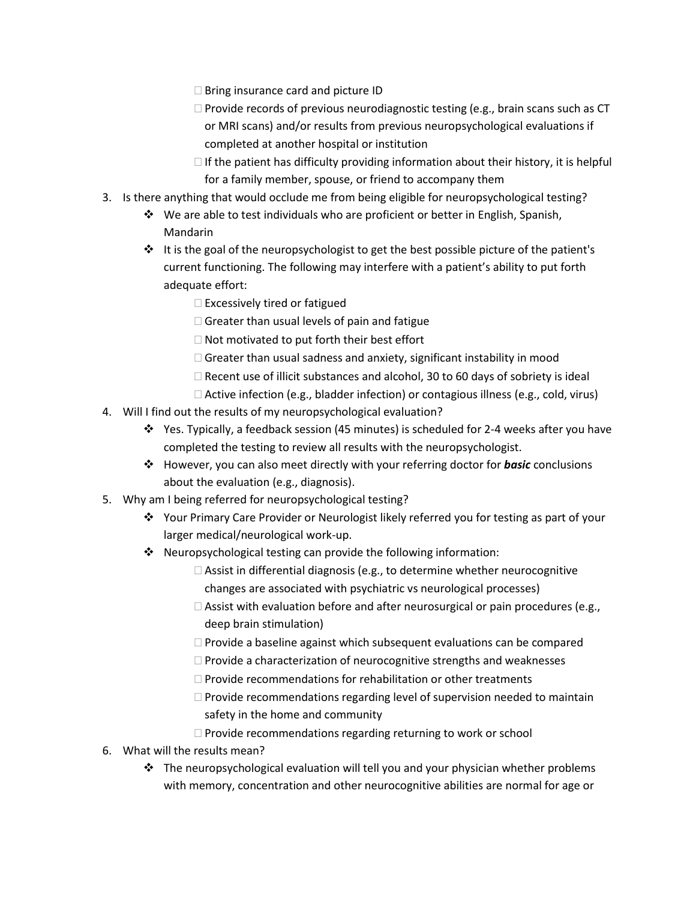- □ Bring insurance card and picture ID
- $\Box$  Provide records of previous neurodiagnostic testing (e.g., brain scans such as CT or MRI scans) and/or results from previous neuropsychological evaluations if completed at another hospital or institution
- $\Box$  If the patient has difficulty providing information about their history, it is helpful for a family member, spouse, or friend to accompany them
- 3. Is there anything that would occlude me from being eligible for neuropsychological testing?
	- We are able to test individuals who are proficient or better in English, Spanish, Mandarin
	- $\cdot \cdot$  It is the goal of the neuropsychologist to get the best possible picture of the patient's current functioning. The following may interfere with a patient's ability to put forth adequate effort:
		- $\square$  Excessively tired or fatigued
		- $\Box$  Greater than usual levels of pain and fatigue
		- $\Box$  Not motivated to put forth their best effort
		- $\Box$  Greater than usual sadness and anxiety, significant instability in mood
		- $\Box$  Recent use of illicit substances and alcohol, 30 to 60 days of sobriety is ideal
		- $\Box$  Active infection (e.g., bladder infection) or contagious illness (e.g., cold, virus)
- 4. Will I find out the results of my neuropsychological evaluation?
	- $\cdot \cdot$  Yes. Typically, a feedback session (45 minutes) is scheduled for 2-4 weeks after you have completed the testing to review all results with the neuropsychologist.
	- However, you can also meet directly with your referring doctor for *basic* conclusions about the evaluation (e.g., diagnosis).
- 5. Why am I being referred for neuropsychological testing?
	- Your Primary Care Provider or Neurologist likely referred you for testing as part of your larger medical/neurological work-up.
	- Neuropsychological testing can provide the following information:
		- $\Box$  Assist in differential diagnosis (e.g., to determine whether neurocognitive changes are associated with psychiatric vs neurological processes)
		- $\Box$  Assist with evaluation before and after neurosurgical or pain procedures (e.g., deep brain stimulation)
		- $\Box$  Provide a baseline against which subsequent evaluations can be compared
		- $\Box$  Provide a characterization of neurocognitive strengths and weaknesses
		- $\Box$  Provide recommendations for rehabilitation or other treatments
		- $\Box$  Provide recommendations regarding level of supervision needed to maintain safety in the home and community
		- $\Box$  Provide recommendations regarding returning to work or school
- 6. What will the results mean?
	- $\div$  The neuropsychological evaluation will tell you and your physician whether problems with memory, concentration and other neurocognitive abilities are normal for age or